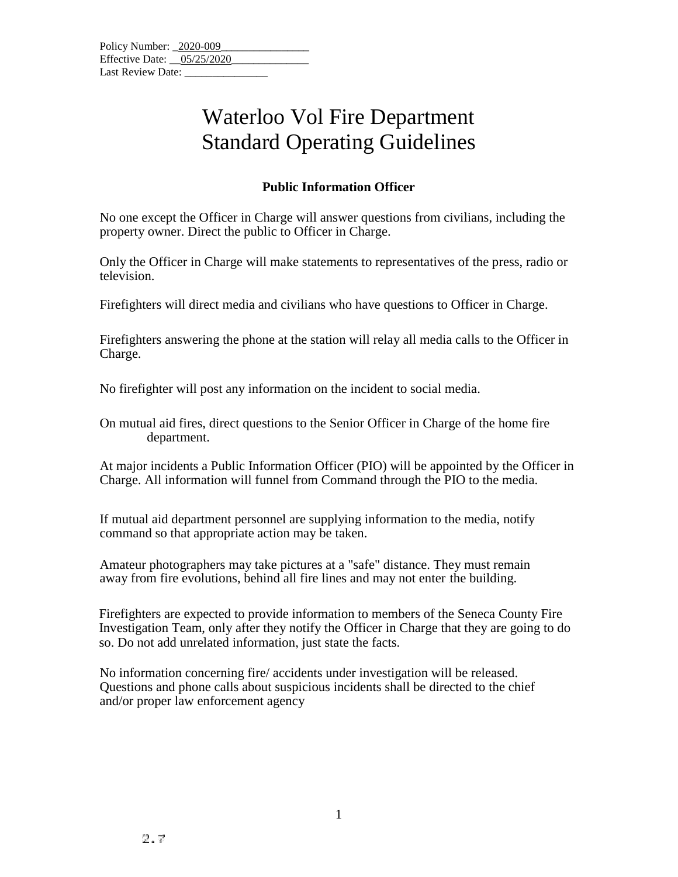## Waterloo Vol Fire Department Standard Operating Guidelines

## **Public Information Officer**

No one except the Officer in Charge will answer questions from civilians, including the property owner. Direct the public to Officer in Charge.

Only the Officer in Charge will make statements to representatives of the press, radio or television.

Firefighters will direct media and civilians who have questions to Officer in Charge.

Firefighters answering the phone at the station will relay all media calls to the Officer in Charge.

No firefighter will post any information on the incident to social media.

On mutual aid fires, direct questions to the Senior Officer in Charge of the home fire department.

At major incidents a Public Information Officer (PIO) will be appointed by the Officer in Charge. All information will funnel from Command through the PIO to the media.

If mutual aid department personnel are supplying information to the media, notify command so that appropriate action may be taken.

Amateur photographers may take pictures at a "safe" distance. They must remain away from fire evolutions, behind all fire lines and may not enter the building.

Firefighters are expected to provide information to members of the Seneca County Fire Investigation Team, only after they notify the Officer in Charge that they are going to do so. Do not add unrelated information, just state the facts.

No information concerning fire/ accidents under investigation will be released. Questions and phone calls about suspicious incidents shall be directed to the chief and/or proper law enforcement agency